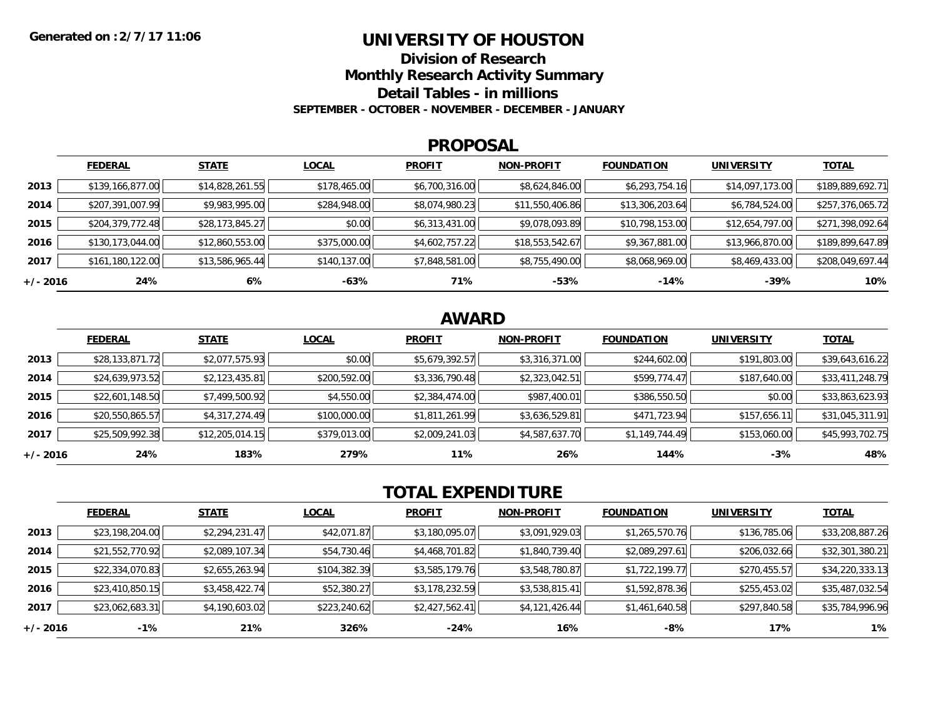### **UNIVERSITY OF HOUSTON**

**Division of Research**

**Monthly Research Activity Summary**

**Detail Tables - in millions**

**SEPTEMBER - OCTOBER - NOVEMBER - DECEMBER - JANUARY**

#### **PROPOSAL**

|            | <b>FEDERAL</b>   | <b>STATE</b>    | <b>LOCAL</b> | <b>PROFIT</b>  | <b>NON-PROFIT</b> | <b>FOUNDATION</b> | <b>UNIVERSITY</b> | <b>TOTAL</b>     |
|------------|------------------|-----------------|--------------|----------------|-------------------|-------------------|-------------------|------------------|
| 2013       | \$139,166,877.00 | \$14,828,261.55 | \$178,465.00 | \$6,700,316.00 | \$8,624,846.00    | \$6,293,754.16    | \$14,097,173.00   | \$189,889,692.71 |
| 2014       | \$207,391,007.99 | \$9,983,995.00  | \$284,948.00 | \$8,074,980.23 | \$11,550,406.86   | \$13,306,203.64   | \$6,784,524.00    | \$257,376,065.72 |
| 2015       | \$204,379,772.48 | \$28,173,845.27 | \$0.00       | \$6,313,431.00 | \$9,078,093.89    | \$10,798,153.00   | \$12,654,797.00   | \$271,398,092.64 |
| 2016       | \$130,173,044.00 | \$12,860,553.00 | \$375,000.00 | \$4,602,757.22 | \$18,553,542.67   | \$9,367,881.00    | \$13,966,870.00   | \$189,899,647.89 |
| 2017       | \$161,180,122.00 | \$13,586,965.44 | \$140,137.00 | \$7,848,581.00 | \$8,755,490.00    | \$8,068,969.00    | \$8,469,433.00    | \$208,049,697.44 |
| $+/- 2016$ | 24%              | 6%              | -63%         | 71%            | $-53%$            | -14%              | -39%              | 10%              |

## **AWARD**

|          | <b>FEDERAL</b>  | <b>STATE</b>    | <b>LOCAL</b> | <b>PROFIT</b>  | <b>NON-PROFIT</b> | <b>FOUNDATION</b> | <b>UNIVERSITY</b> | <b>TOTAL</b>    |
|----------|-----------------|-----------------|--------------|----------------|-------------------|-------------------|-------------------|-----------------|
| 2013     | \$28,133,871.72 | \$2,077,575.93  | \$0.00       | \$5,679,392.57 | \$3,316,371.00    | \$244,602.00      | \$191,803.00      | \$39,643,616.22 |
| 2014     | \$24,639,973.52 | \$2,123,435.81  | \$200,592.00 | \$3,336,790.48 | \$2,323,042.51    | \$599,774.47      | \$187,640.00      | \$33,411,248.79 |
| 2015     | \$22,601,148.50 | \$7,499,500.92  | \$4,550.00   | \$2,384,474.00 | \$987,400.01      | \$386,550.50      | \$0.00            | \$33,863,623.93 |
| 2016     | \$20,550,865.57 | \$4,317,274.49  | \$100,000.00 | \$1,811,261.99 | \$3,636,529.81    | \$471,723.94      | \$157,656.11      | \$31,045,311.91 |
| 2017     | \$25,509,992.38 | \$12,205,014.15 | \$379,013.00 | \$2,009,241.03 | \$4,587,637.70    | \$1,149,744.49    | \$153,060.00      | \$45,993,702.75 |
| +/- 2016 | 24%             | 183%            | 279%         | 11%            | 26%               | 144%              | $-3%$             | 48%             |

# **TOTAL EXPENDITURE**

|            | <b>FEDERAL</b>  | <b>STATE</b>   | <b>LOCAL</b> | <b>PROFIT</b>  | <b>NON-PROFIT</b> | <b>FOUNDATION</b> | <b>UNIVERSITY</b> | <b>TOTAL</b>    |
|------------|-----------------|----------------|--------------|----------------|-------------------|-------------------|-------------------|-----------------|
| 2013       | \$23,198,204.00 | \$2,294,231.47 | \$42,071.87  | \$3,180,095.07 | \$3,091,929.03    | \$1,265,570.76    | \$136,785.06      | \$33,208,887.26 |
| 2014       | \$21,552,770.92 | \$2,089,107.34 | \$54,730.46  | \$4,468,701.82 | \$1,840,739.40    | \$2,089,297.61    | \$206,032.66      | \$32,301,380.21 |
| 2015       | \$22,334,070.83 | \$2,655,263.94 | \$104,382.39 | \$3,585,179.76 | \$3,548,780.87    | \$1,722,199.77    | \$270,455.57      | \$34,220,333.13 |
| 2016       | \$23,410,850.15 | \$3,458,422.74 | \$52,380.27  | \$3,178,232.59 | \$3,538,815.41    | \$1,592,878.36    | \$255,453.02      | \$35,487,032.54 |
| 2017       | \$23,062,683.31 | \$4,190,603.02 | \$223,240.62 | \$2,427,562.41 | \$4,121,426.44    | \$1,461,640.58    | \$297,840.58      | \$35,784,996.96 |
| $+/- 2016$ | $-1%$           | 21%            | 326%         | -24%           | 16%               | -8%               | 17%               | 1%              |